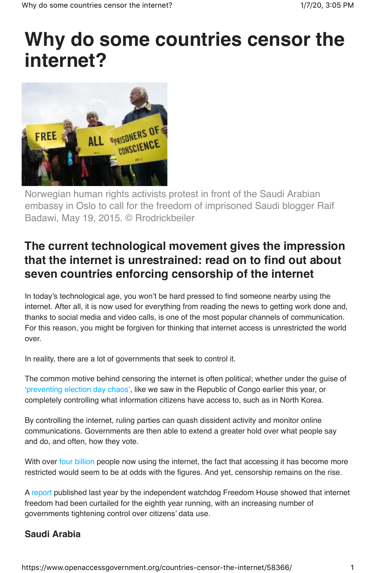# **Why do some countries censor the internet?**



Norwegian human rights activists protest in front of the Saudi Arabian embassy in Oslo to call for the freedom of imprisoned Saudi blogger Raif Badawi, May 19, 2015. © Rrodrickbeiler

## **The current technological movement gives the impression that the internet is unrestrained: read on to find out about seven countries enforcing censorship of the internet**

In today's technological age, you won't be hard pressed to find someone nearby using the internet. After all, it is now used for everything from reading the news to getting work done and, thanks to social media and video calls, is one of the most popular channels of communication. For this reason, you might be forgiven for thinking that internet access is unrestricted the world over.

In reality, there are a lot of governments that seek to control it.

The common motive behind censoring the internet is often political; whether under the guise of 'preventing election day chaos', like we saw in the Republic of Congo earlier this year, or completely controlling what information citizens have access to, such as in North Korea.

By controlling the internet, ruling parties can quash dissident activity and monitor online communications. Governments are then able to extend a greater hold over what people say and do, and often, how they vote.

With over four billion people now using the internet, the fact that accessing it has become more restricted would seem to be at odds with the figures. And yet, censorship remains on the rise.

A report published last year by the independent watchdog Freedom House showed that internet freedom had been curtailed for the eighth year running, with an increasing number of governments tightening control over citizens' data use.

### **Saudi Arabia**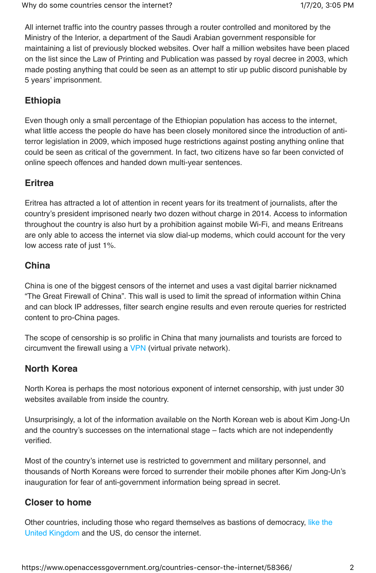All internet traffic into the country passes through a router controlled and monitored by the Ministry of the Interior, a department of the Saudi Arabian government responsible for maintaining a list of previously blocked websites. Over half a million websites have been placed on the list since the Law of Printing and Publication was passed by royal decree in 2003, which made posting anything that could be seen as an attempt to stir up public discord punishable by 5 years' imprisonment.

#### **Ethiopia**

Even though only a small percentage of the Ethiopian population has access to the internet, what little access the people do have has been closely monitored since the introduction of antiterror legislation in 2009, which imposed huge restrictions against posting anything online that could be seen as critical of the government. In fact, two citizens have so far been convicted of online speech offences and handed down multi-year sentences.

#### **Eritrea**

Eritrea has attracted a lot of attention in recent years for its treatment of journalists, after the country's president imprisoned nearly two dozen without charge in 2014. Access to information throughout the country is also hurt by a prohibition against mobile Wi-Fi, and means Eritreans are only able to access the internet via slow dial-up modems, which could account for the very low access rate of just 1%.

#### **China**

China is one of the biggest censors of the internet and uses a vast digital barrier nicknamed "The Great Firewall of China". This wall is used to limit the spread of information within China and can block IP addresses, filter search engine results and even reroute queries for restricted content to pro-China pages.

The scope of censorship is so prolific in China that many journalists and tourists are forced to circumvent the firewall using a VPN (virtual private network).

#### **North Korea**

North Korea is perhaps the most notorious exponent of internet censorship, with just under 30 websites available from inside the country.

Unsurprisingly, a lot of the information available on the North Korean web is about Kim Jong-Un and the country's successes on the international stage – facts which are not independently verified.

Most of the country's internet use is restricted to government and military personnel, and thousands of North Koreans were forced to surrender their mobile phones after Kim Jong-Un's inauguration for fear of anti-government information being spread in secret.

#### **Closer to home**

Other countries, including those who regard themselves as bastions of democracy, like the United Kingdom and the US, do censor the internet.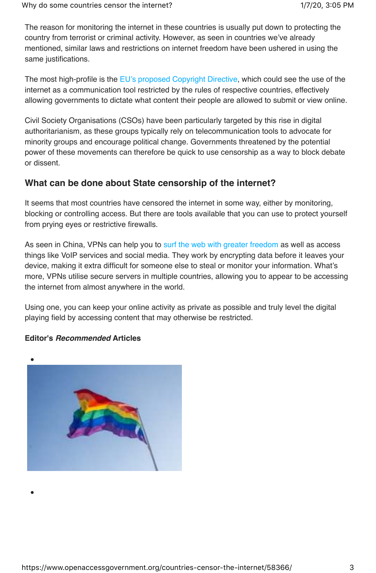The reason for monitoring the internet in these countries is usually put down to protecting the country from terrorist or criminal activity. However, as seen in countries we've already mentioned, similar laws and restrictions on internet freedom have been ushered in using the same justifications.

The most high-profile is the EU's proposed Copyright Directive, which could see the use of the internet as a communication tool restricted by the rules of respective countries, effectively allowing governments to dictate what content their people are allowed to submit or view online.

Civil Society Organisations (CSOs) have been particularly targeted by this rise in digital authoritarianism, as these groups typically rely on telecommunication tools to advocate for minority groups and encourage political change. Governments threatened by the potential power of these movements can therefore be quick to use censorship as a way to block debate or dissent.

#### **What can be done about State censorship of the internet?**

It seems that most countries have censored the internet in some way, either by monitoring, blocking or controlling access. But there are tools available that you can use to protect yourself from prying eyes or restrictive firewalls.

As seen in China, VPNs can help you to surf the web with greater freedom as well as access things like VoIP services and social media. They work by encrypting data before it leaves your device, making it extra difficult for someone else to steal or monitor your information. What's more, VPNs utilise secure servers in multiple countries, allowing you to appear to be accessing the internet from almost anywhere in the world.

Using one, you can keep your online activity as private as possible and truly level the digital playing field by accessing content that may otherwise be restricted.

#### **Editor's Recommended Articles**